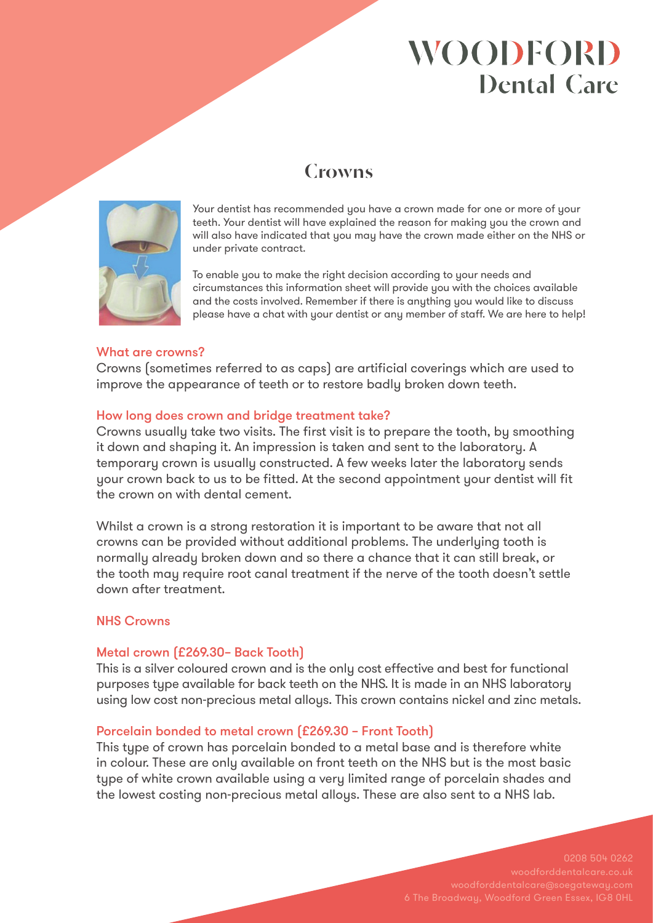# **WOODFORD Dental Care**

## **Crowns**



Your dentist has recommended you have a crown made for one or more of your teeth. Your dentist will have explained the reason for making you the crown and will also have indicated that you may have the crown made either on the NHS or under private contract.

To enable you to make the right decision according to your needs and circumstances this information sheet will provide you with the choices available and the costs involved. Remember if there is anything you would like to discuss please have a chat with your dentist or any member of staff. We are here to help!

### What are crowns?

Crowns (sometimes referred to as caps) are artificial coverings which are used to improve the appearance of teeth or to restore badly broken down teeth.

### How long does crown and bridge treatment take?

Crowns usually take two visits. The first visit is to prepare the tooth, by smoothing it down and shaping it. An impression is taken and sent to the laboratory. A temporary crown is usually constructed. A few weeks later the laboratory sends your crown back to us to be fitted. At the second appointment your dentist will fit the crown on with dental cement.

Whilst a crown is a strong restoration it is important to be aware that not all crowns can be provided without additional problems. The underlying tooth is normally already broken down and so there a chance that it can still break, or the tooth may require root canal treatment if the nerve of the tooth doesn't settle down after treatment.

### NHS Crowns

### Metal crown (£269.30– Back Tooth)

This is a silver coloured crown and is the only cost effective and best for functional purposes type available for back teeth on the NHS. It is made in an NHS laboratory using low cost non-precious metal alloys. This crown contains nickel and zinc metals.

### Porcelain bonded to metal crown (£269.30 – Front Tooth)

This type of crown has porcelain bonded to a metal base and is therefore white in colour. These are only available on front teeth on the NHS but is the most basic type of white crown available using a very limited range of porcelain shades and the lowest costing non-precious metal alloys. These are also sent to a NHS lab.